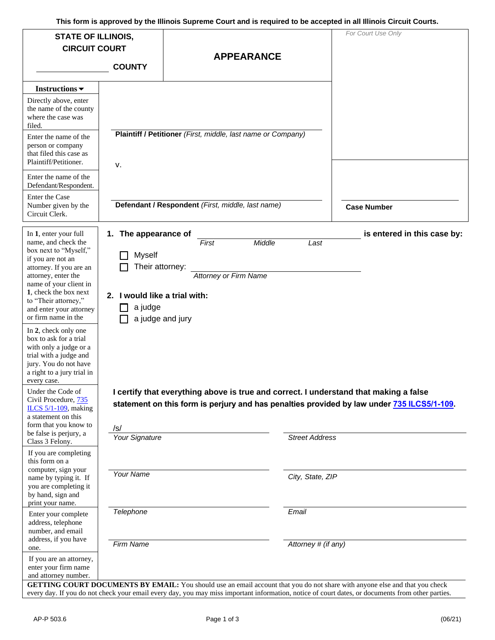| <b>STATE OF ILLINOIS,</b><br><b>CIRCUIT COURT</b><br><b>COUNTY</b>                                                                                                                                                                                                                                                                                                                                                                                                                                                                                                            |                                                                                                             | <b>APPEARANCE</b>                                                                                                                                                                                                                                                  | For Court Use Only          |
|-------------------------------------------------------------------------------------------------------------------------------------------------------------------------------------------------------------------------------------------------------------------------------------------------------------------------------------------------------------------------------------------------------------------------------------------------------------------------------------------------------------------------------------------------------------------------------|-------------------------------------------------------------------------------------------------------------|--------------------------------------------------------------------------------------------------------------------------------------------------------------------------------------------------------------------------------------------------------------------|-----------------------------|
| Instructions $\blacktriangledown$<br>Directly above, enter<br>the name of the county<br>where the case was<br>filed.<br>Enter the name of the<br>person or company<br>that filed this case as<br>Plaintiff/Petitioner.<br>Enter the name of the<br>Defendant/Respondent.<br>Enter the Case                                                                                                                                                                                                                                                                                    | v.                                                                                                          | Plaintiff / Petitioner (First, middle, last name or Company)                                                                                                                                                                                                       |                             |
| Number given by the<br>Circuit Clerk.                                                                                                                                                                                                                                                                                                                                                                                                                                                                                                                                         |                                                                                                             | Defendant / Respondent (First, middle, last name)                                                                                                                                                                                                                  | <b>Case Number</b>          |
| In 1, enter your full<br>name, and check the<br>box next to "Myself,"<br>if you are not an<br>attorney. If you are an<br>attorney, enter the<br>name of your client in<br>1, check the box next<br>to "Their attorney,"<br>and enter your attorney<br>or firm name in the<br>In 2, check only one<br>box to ask for a trial<br>with only a judge or a<br>trial with a judge and<br>jury. You do not have<br>a right to a jury trial in<br>every case.<br>Under the Code of<br>Civil Procedure, 735<br>ILCS $5/1-109$ , making<br>a statement on this<br>form that you know to | 1. The appearance of<br><b>Myself</b><br>Their attorney:<br>2. I would like a trial with:<br>a judge<br>/s/ | First<br>Middle<br>Last<br><b>Attorney or Firm Name</b><br>a judge and jury<br>I certify that everything above is true and correct. I understand that making a false<br>statement on this form is perjury and has penalties provided by law under 735 ILCS5/1-109. | is entered in this case by: |
| be false is perjury, a<br>Class 3 Felony.<br>If you are completing<br>this form on a                                                                                                                                                                                                                                                                                                                                                                                                                                                                                          | Your Signature                                                                                              | <b>Street Address</b>                                                                                                                                                                                                                                              |                             |
| computer, sign your<br>name by typing it. If<br>you are completing it<br>by hand, sign and<br>print your name.                                                                                                                                                                                                                                                                                                                                                                                                                                                                | <b>Your Name</b>                                                                                            | City, State, ZIP                                                                                                                                                                                                                                                   |                             |
| Enter your complete<br>address, telephone<br>number, and email<br>address, if you have<br>one.                                                                                                                                                                                                                                                                                                                                                                                                                                                                                | Telephone<br>Firm Name                                                                                      | Email<br>Attorney # (if any)                                                                                                                                                                                                                                       |                             |
| If you are an attorney,<br>enter your firm name<br>and attorney number.<br><b><i>'ETTIME COUDT DOCUMENTS BY EMAIL . Vough</i></b>                                                                                                                                                                                                                                                                                                                                                                                                                                             |                                                                                                             |                                                                                                                                                                                                                                                                    |                             |

 **GETTING COURT DOCUMENTS BY EMAIL:** You should use an email account that you do not share with anyone else and that you check every day. If you do not check your email every day, you may miss important information, notice of court dates, or documents from other parties.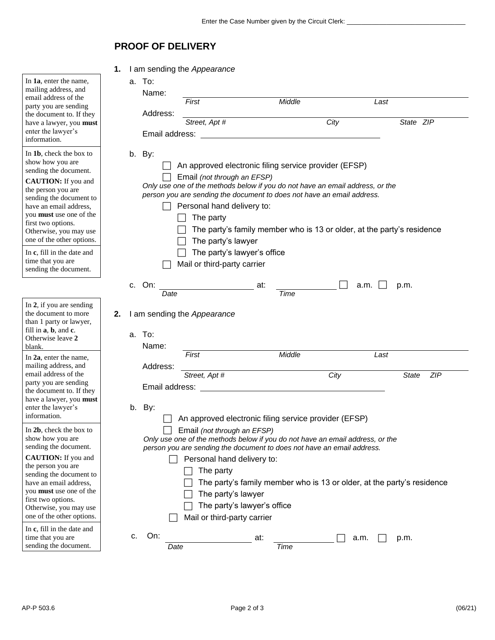## **PROOF OF DELIVERY**

|                                                                                                                                                                                                                                                                                                                                                                   | 1.                                                                                                                                                                                                                                                                                                                                                                                                                                                       |           |                            | I am sending the Appearance              |                                                                                                                                               |        |                                                                                                                                                                                                                  |                                                                        |
|-------------------------------------------------------------------------------------------------------------------------------------------------------------------------------------------------------------------------------------------------------------------------------------------------------------------------------------------------------------------|----------------------------------------------------------------------------------------------------------------------------------------------------------------------------------------------------------------------------------------------------------------------------------------------------------------------------------------------------------------------------------------------------------------------------------------------------------|-----------|----------------------------|------------------------------------------|-----------------------------------------------------------------------------------------------------------------------------------------------|--------|------------------------------------------------------------------------------------------------------------------------------------------------------------------------------------------------------------------|------------------------------------------------------------------------|
| In 1a, enter the name,<br>mailing address, and<br>email address of the<br>party you are sending<br>the document to. If they<br>have a lawyer, you must<br>enter the lawyer's<br>information.                                                                                                                                                                      |                                                                                                                                                                                                                                                                                                                                                                                                                                                          | a. To:    | Name:<br>Address:          | First<br>Street, Apt #<br>Email address: |                                                                                                                                               | Middle | City                                                                                                                                                                                                             | Last<br>State ZIP                                                      |
| In 1b, check the box to<br>show how you are<br>sending the document.<br><b>CAUTION:</b> If you and<br>the person you are<br>sending the document to<br>have an email address,<br>you must use one of the<br>first two options.<br>Otherwise, you may use<br>one of the other options.<br>In c, fill in the date and<br>time that you are<br>sending the document. |                                                                                                                                                                                                                                                                                                                                                                                                                                                          | b. By:    |                            | The party                                | Email (not through an EFSP)<br>Personal hand delivery to:<br>The party's lawyer<br>The party's lawyer's office<br>Mail or third-party carrier |        | An approved electronic filing service provider (EFSP)<br>Only use one of the methods below if you do not have an email address, or the<br>person you are sending the document to does not have an email address. | The party's family member who is 13 or older, at the party's residence |
| In 2, if you are sending<br>the document to more                                                                                                                                                                                                                                                                                                                  |                                                                                                                                                                                                                                                                                                                                                                                                                                                          | c. On:    | Date                       |                                          | at:                                                                                                                                           | Time   | a.m.                                                                                                                                                                                                             | p.m.                                                                   |
| than 1 party or lawyer,<br>fill in <b>a</b> , <b>b</b> , and <b>c</b> .<br>Otherwise leave 2<br>blank.<br>In 2a, enter the name,<br>mailing address, and<br>email address of the<br>party you are sending<br>the document to. If they<br>have a lawyer, you must<br>enter the lawyer's<br>information.                                                            | 2.                                                                                                                                                                                                                                                                                                                                                                                                                                                       | To:<br>a. | Name:                      | I am sending the Appearance<br>First     |                                                                                                                                               | Middle |                                                                                                                                                                                                                  | Last                                                                   |
|                                                                                                                                                                                                                                                                                                                                                                   |                                                                                                                                                                                                                                                                                                                                                                                                                                                          | b. By:    | Address:<br>Email address: | Street, Apt #                            |                                                                                                                                               |        | City                                                                                                                                                                                                             | ZIP<br><b>State</b>                                                    |
| In 2b, check the box to<br>show how you are<br>sending the document.<br><b>CAUTION:</b> If you and<br>the person you are<br>sending the document to<br>have an email address,<br>you <b>must</b> use one of the<br>first two options.<br>Otherwise, you may use<br>one of the other options.                                                                      | An approved electronic filing service provider (EFSP)<br>Email (not through an EFSP)<br>Only use one of the methods below if you do not have an email address, or the<br>person you are sending the document to does not have an email address.<br>Personal hand delivery to:<br>The party<br>The party's family member who is 13 or older, at the party's residence<br>The party's lawyer<br>The party's lawyer's office<br>Mail or third-party carrier |           |                            |                                          |                                                                                                                                               |        |                                                                                                                                                                                                                  |                                                                        |
| In c, fill in the date and<br>time that you are<br>sending the document.                                                                                                                                                                                                                                                                                          |                                                                                                                                                                                                                                                                                                                                                                                                                                                          | c.        | On:<br>Date                |                                          | at:                                                                                                                                           | Time   | a.m.                                                                                                                                                                                                             | p.m.                                                                   |